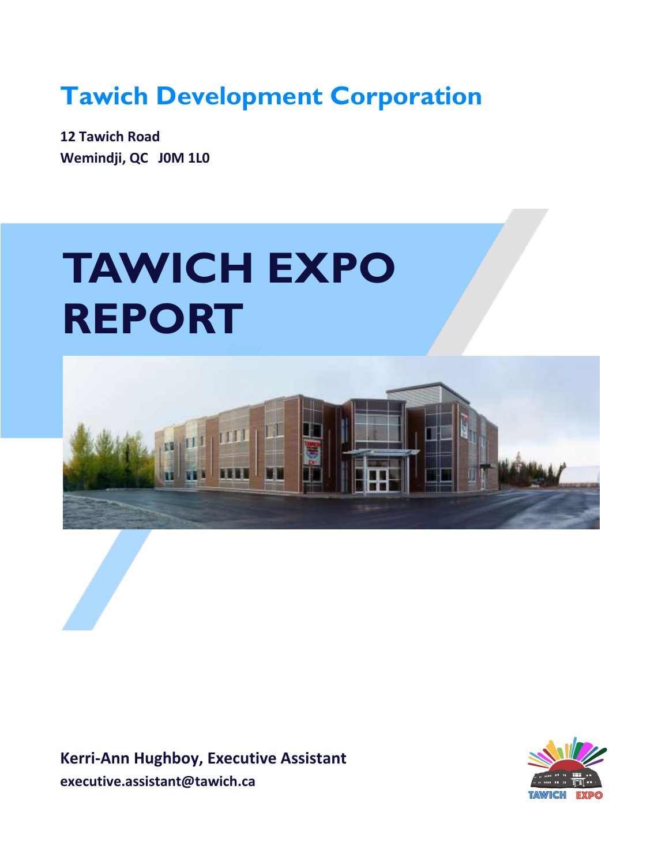**Tawich Development Corporation**

**12 Tawich Road Wemindji, QC J0M 1L0**

# **TAWICH EXPO REPORT**



**Kerri-Ann Hughboy, Executive Assistant executive.assistant@tawich.ca**

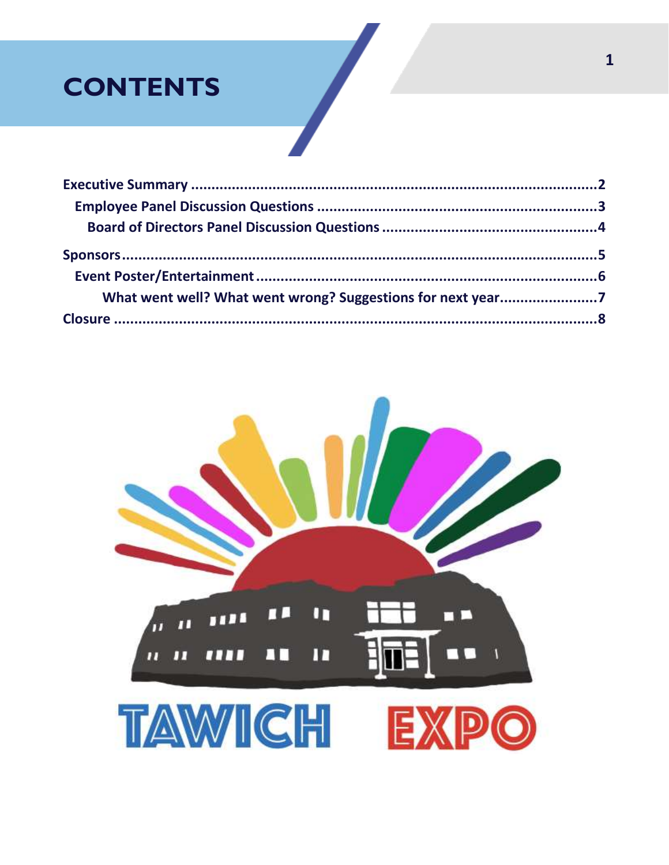## **CONTENTS**

| What went well? What went wrong? Suggestions for next year7 |  |
|-------------------------------------------------------------|--|
|                                                             |  |

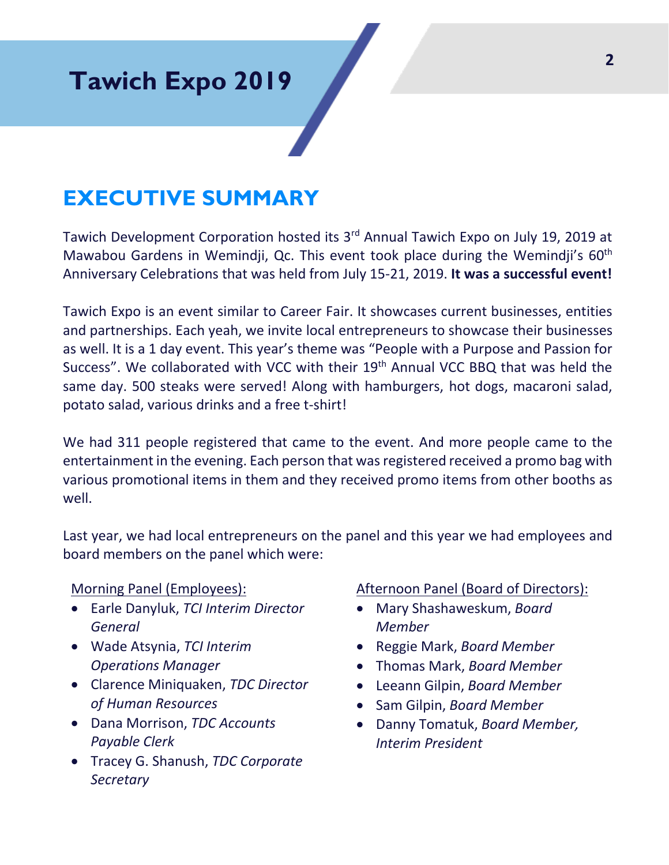### **Tawich Expo 2019**

### **EXECUTIVE SUMMARY**

Tawich Development Corporation hosted its 3<sup>rd</sup> Annual Tawich Expo on July 19, 2019 at Mawabou Gardens in Wemindji, Qc. This event took place during the Wemindji's 60<sup>th</sup> Anniversary Celebrations that was held from July 15-21, 2019. **It was a successful event!**

Tawich Expo is an event similar to Career Fair. It showcases current businesses, entities and partnerships. Each yeah, we invite local entrepreneurs to showcase their businesses as well. It is a 1 day event. This year's theme was "People with a Purpose and Passion for Success". We collaborated with VCC with their 19<sup>th</sup> Annual VCC BBQ that was held the same day. 500 steaks were served! Along with hamburgers, hot dogs, macaroni salad, potato salad, various drinks and a free t-shirt!

We had 311 people registered that came to the event. And more people came to the entertainment in the evening. Each person that was registered received a promo bag with various promotional items in them and they received promo items from other booths as well.

Last year, we had local entrepreneurs on the panel and this year we had employees and board members on the panel which were:

#### Morning Panel (Employees):

- Earle Danyluk, *TCI Interim Director General*
- Wade Atsynia, *TCI Interim Operations Manager*
- Clarence Miniquaken, *TDC Director of Human Resources*
- Dana Morrison, *TDC Accounts Payable Clerk*
- Tracey G. Shanush, *TDC Corporate Secretary*

#### Afternoon Panel (Board of Directors):

- Mary Shashaweskum, *Board Member*
- Reggie Mark, *Board Member*
- Thomas Mark, *Board Member*
- Leeann Gilpin, *Board Member*
- Sam Gilpin, *Board Member*
- Danny Tomatuk, *Board Member, Interim President*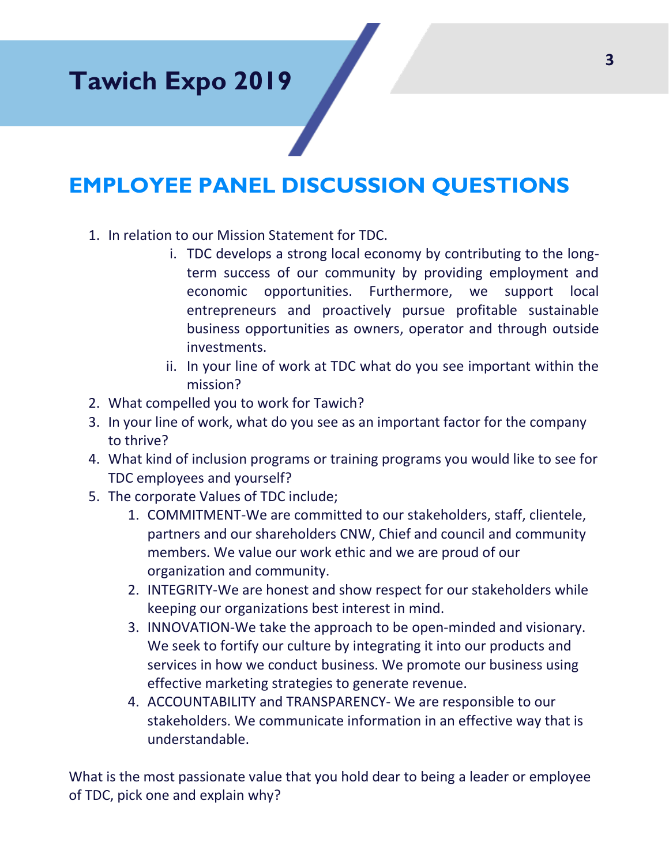### **EMPLOYEE PANEL DISCUSSION QUESTIONS**

- 1. In relation to our Mission Statement for TDC.
	- i. TDC develops a strong local economy by contributing to the longterm success of our community by providing employment and economic opportunities. Furthermore, we support local entrepreneurs and proactively pursue profitable sustainable business opportunities as owners, operator and through outside investments.
	- ii. In your line of work at TDC what do you see important within the mission?
- 2. What compelled you to work for Tawich?
- 3. In your line of work, what do you see as an important factor for the company to thrive?
- 4. What kind of inclusion programs or training programs you would like to see for TDC employees and yourself?
- 5. The corporate Values of TDC include;
	- 1. COMMITMENT-We are committed to our stakeholders, staff, clientele, partners and our shareholders CNW, Chief and council and community members. We value our work ethic and we are proud of our organization and community.
	- 2. INTEGRITY-We are honest and show respect for our stakeholders while keeping our organizations best interest in mind.
	- 3. INNOVATION-We take the approach to be open-minded and visionary. We seek to fortify our culture by integrating it into our products and services in how we conduct business. We promote our business using effective marketing strategies to generate revenue.
	- 4. ACCOUNTABILITY and TRANSPARENCY- We are responsible to our stakeholders. We communicate information in an effective way that is understandable.

What is the most passionate value that you hold dear to being a leader or employee of TDC, pick one and explain why?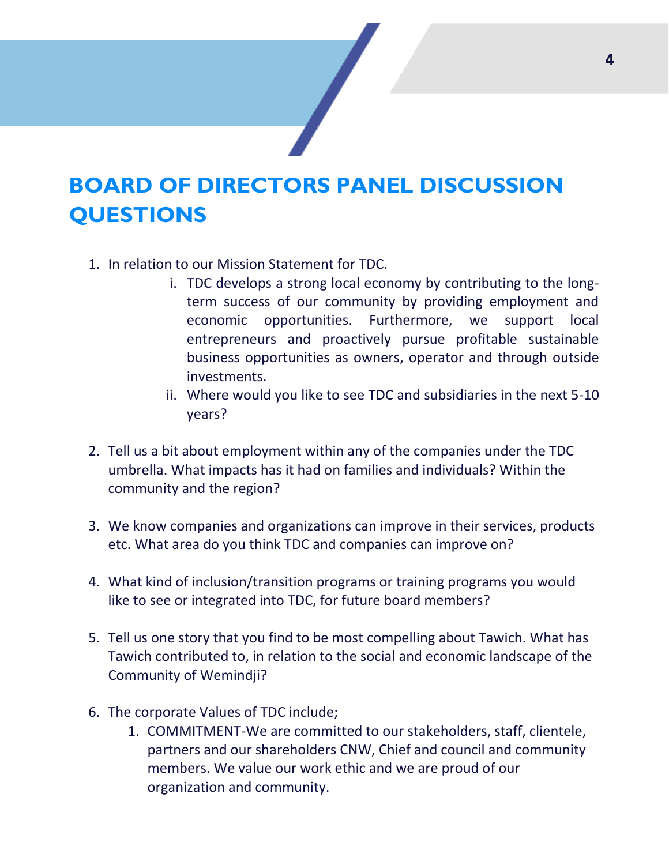### **BOARD OF DIRECTORS PANEL DISCUSSION QUESTIONS**

- 1. In relation to our Mission Statement for TDC.
	- i. TDC develops a strong local economy by contributing to the longterm success of our community by providing employment and economic opportunities. Furthermore, we support local entrepreneurs and proactively pursue profitable sustainable business opportunities as owners, operator and through outside investments.
	- ii. Where would you like to see TDC and subsidiaries in the next 5-10 years?
- 2. Tell us a bit about employment within any of the companies under the TDC umbrella. What impacts has it had on families and individuals? Within the community and the region?
- 3. We know companies and organizations can improve in their services, products etc. What area do you think TDC and companies can improve on?
- 4. What kind of inclusion/transition programs or training programs you would like to see or integrated into TDC, for future board members?
- 5. Tell us one story that you find to be most compelling about Tawich. What has Tawich contributed to, in relation to the social and economic landscape of the Community of Wemindji?
- 6. The corporate Values of TDC include;
	- 1. COMMITMENT-We are committed to our stakeholders, staff, clientele, partners and our shareholders CNW, Chief and council and community members. We value our work ethic and we are proud of our organization and community.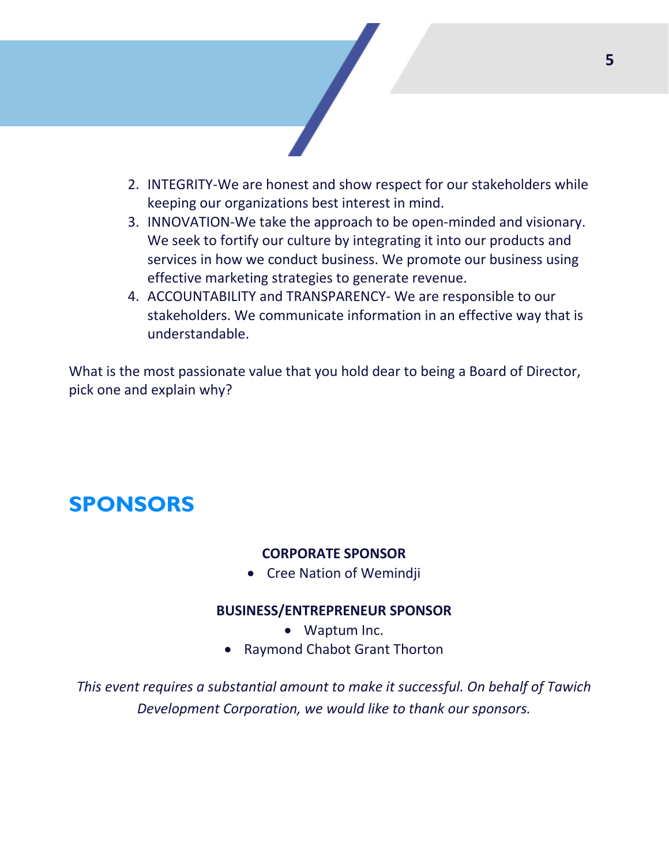

- 2. INTEGRITY-We are honest and show respect for our stakeholders while keeping our organizations best interest in mind.
- 3. INNOVATION-We take the approach to be open-minded and visionary. We seek to fortify our culture by integrating it into our products and services in how we conduct business. We promote our business using effective marketing strategies to generate revenue.
- 4. ACCOUNTABILITY and TRANSPARENCY- We are responsible to our stakeholders. We communicate information in an effective way that is understandable.

What is the most passionate value that you hold dear to being a Board of Director, pick one and explain why?

### **SPONSORS**

#### **CORPORATE SPONSOR**

• Cree Nation of Wemindji

#### **BUSINESS/ENTREPRENEUR SPONSOR**

- Waptum Inc.
- Raymond Chabot Grant Thorton

*This event requires a substantial amount to make it successful. On behalf of Tawich Development Corporation, we would like to thank our sponsors.*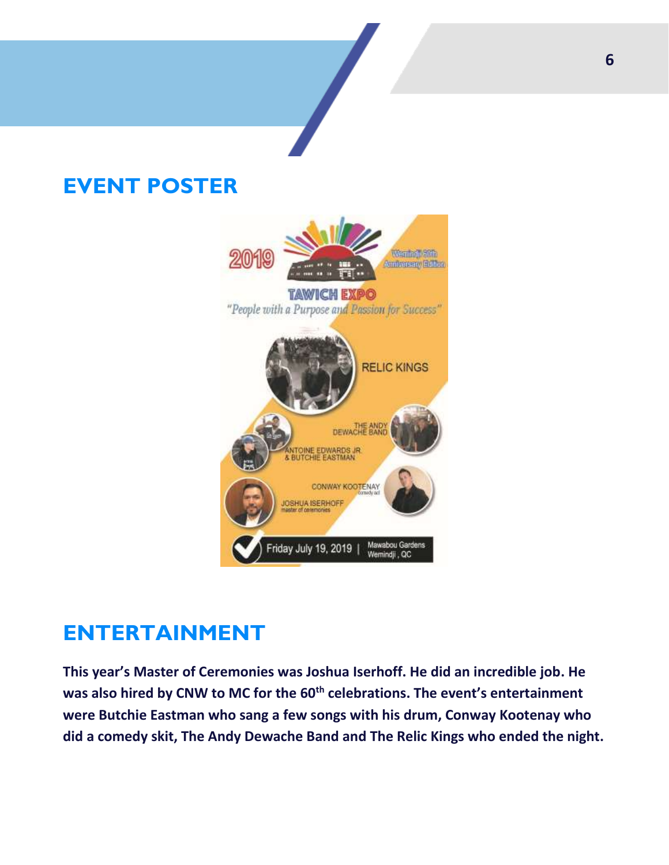### **EVENT POSTER**



### **ENTERTAINMENT**

**This year's Master of Ceremonies was Joshua Iserhoff. He did an incredible job. He was also hired by CNW to MC for the 60th celebrations. The event's entertainment were Butchie Eastman who sang a few songs with his drum, Conway Kootenay who did a comedy skit, The Andy Dewache Band and The Relic Kings who ended the night.**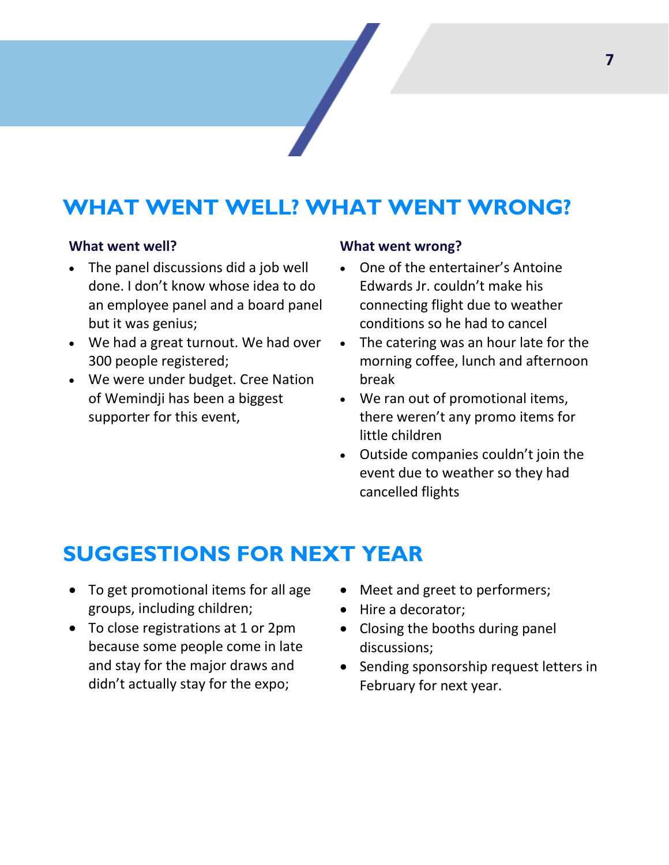### **WHAT WENT WELL? WHAT WENT WRONG?**

#### **What went well?**

- The panel discussions did a job well done. I don't know whose idea to do an employee panel and a board panel but it was genius;
- We had a great turnout. We had over 300 people registered;
- We were under budget. Cree Nation of Wemindji has been a biggest supporter for this event,

#### **What went wrong?**

- One of the entertainer's Antoine Edwards Jr. couldn't make his connecting flight due to weather conditions so he had to cancel
- The catering was an hour late for the morning coffee, lunch and afternoon break
- We ran out of promotional items, there weren't any promo items for little children
- Outside companies couldn't join the event due to weather so they had cancelled flights

### **SUGGESTIONS FOR NEXT YEAR**

- To get promotional items for all age groups, including children;
- To close registrations at 1 or 2pm because some people come in late and stay for the major draws and didn't actually stay for the expo;
- Meet and greet to performers;
- Hire a decorator;
- Closing the booths during panel discussions;
- Sending sponsorship request letters in February for next year.